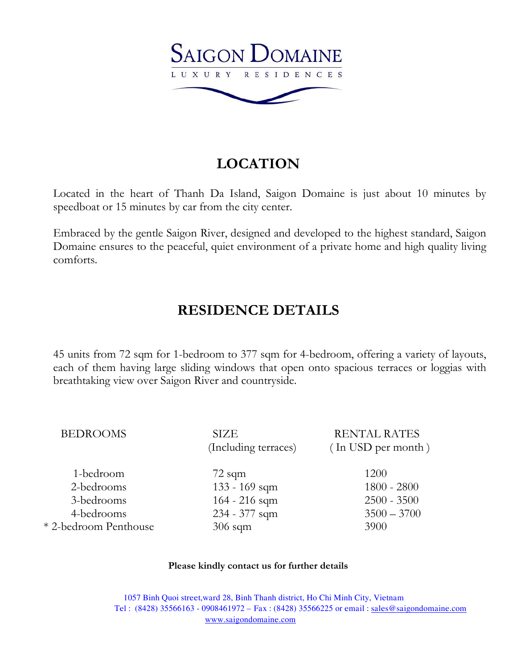

# **LOCATION**

Located in the heart of Thanh Da Island, Saigon Domaine is just about 10 minutes by speedboat or 15 minutes by car from the city center.

Embraced by the gentle Saigon River, designed and developed to the highest standard, Saigon Domaine ensures to the peaceful, quiet environment of a private home and high quality living comforts.

## **RESIDENCE DETAILS**

45 units from 72 sqm for 1-bedroom to 377 sqm for 4-bedroom, offering a variety of layouts, each of them having large sliding windows that open onto spacious terraces or loggias with breathtaking view over Saigon River and countryside.

| <b>BEDROOMS</b>       | <b>SIZE</b>          | <b>RENTAL RATES</b> |
|-----------------------|----------------------|---------------------|
|                       | (Including terraces) | (In USD per month)  |
| 1-bedroom             | $72$ sqm             | 1200                |
| 2-bedrooms            | 133 - 169 sqm        | $1800 - 2800$       |
| 3-bedrooms            | $164 - 216$ sqm      | $2500 - 3500$       |
| 4-bedrooms            | 234 - 377 sqm        | $3500 - 3700$       |
| * 2-bedroom Penthouse | $306$ sqm            | 3900                |

#### **Please kindly contact us for further details**

 1057 Binh Quoi street,ward 28, Binh Thanh district, Ho Chi Minh City, Vietnam Tel : (8428) 35566163 - 0908461972 – Fax : (8428) 35566225 or email : sales@saigondomaine.com www.saigondomaine.com